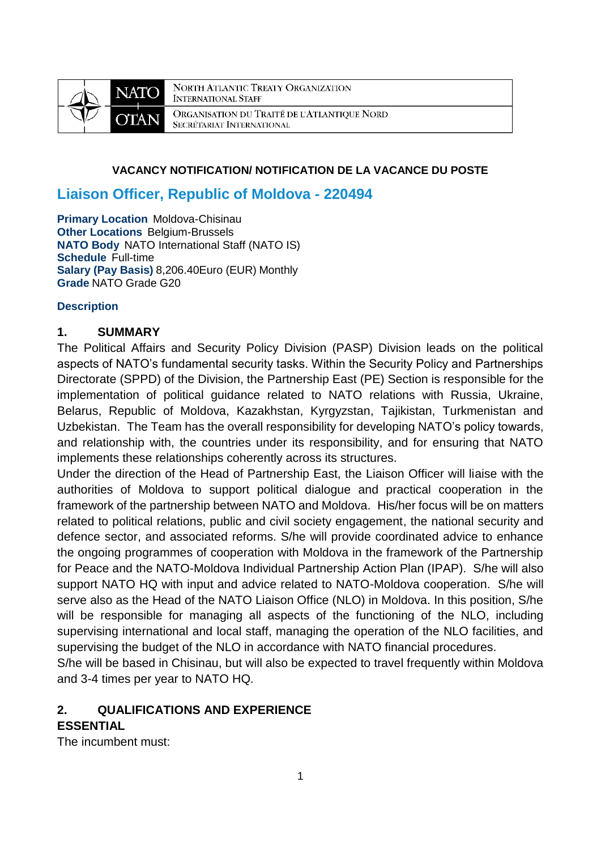

NORTH ATLANTIC TREATY ORGANIZATION **INTERNATIONAL STAFF** ORGANISATION DU TRAITÉ DE L'ATLANTIQUE NORD SECRÉTARIAT INTERNATIONAL

#### **VACANCY NOTIFICATION/ NOTIFICATION DE LA VACANCE DU POSTE**

# **Liaison Officer, Republic of Moldova - 220494**

**Primary Location Moldova-Chisinau Other Locations Belgium-Brussels NATO Body** NATO International Staff (NATO IS) **Schedule** Full-time **Salary (Pay Basis)** 8,206.40Euro (EUR) Monthly **Grade** NATO Grade G20

#### **Description**

#### **1. SUMMARY**

The Political Affairs and Security Policy Division (PASP) Division leads on the political aspects of NATO's fundamental security tasks. Within the Security Policy and Partnerships Directorate (SPPD) of the Division, the Partnership East (PE) Section is responsible for the implementation of political guidance related to NATO relations with Russia, Ukraine, Belarus, Republic of Moldova, Kazakhstan, Kyrgyzstan, Tajikistan, Turkmenistan and Uzbekistan. The Team has the overall responsibility for developing NATO's policy towards, and relationship with, the countries under its responsibility, and for ensuring that NATO implements these relationships coherently across its structures.

Under the direction of the Head of Partnership East, the Liaison Officer will liaise with the authorities of Moldova to support political dialogue and practical cooperation in the framework of the partnership between NATO and Moldova. His/her focus will be on matters related to political relations, public and civil society engagement, the national security and defence sector, and associated reforms. S/he will provide coordinated advice to enhance the ongoing programmes of cooperation with Moldova in the framework of the Partnership for Peace and the NATO-Moldova Individual Partnership Action Plan (IPAP). S/he will also support NATO HQ with input and advice related to NATO-Moldova cooperation. S/he will serve also as the Head of the NATO Liaison Office (NLO) in Moldova. In this position, S/he will be responsible for managing all aspects of the functioning of the NLO, including supervising international and local staff, managing the operation of the NLO facilities, and supervising the budget of the NLO in accordance with NATO financial procedures.

S/he will be based in Chisinau, but will also be expected to travel frequently within Moldova and 3-4 times per year to NATO HQ.

# **2. QUALIFICATIONS AND EXPERIENCE**

# **ESSENTIAL**

The incumbent must: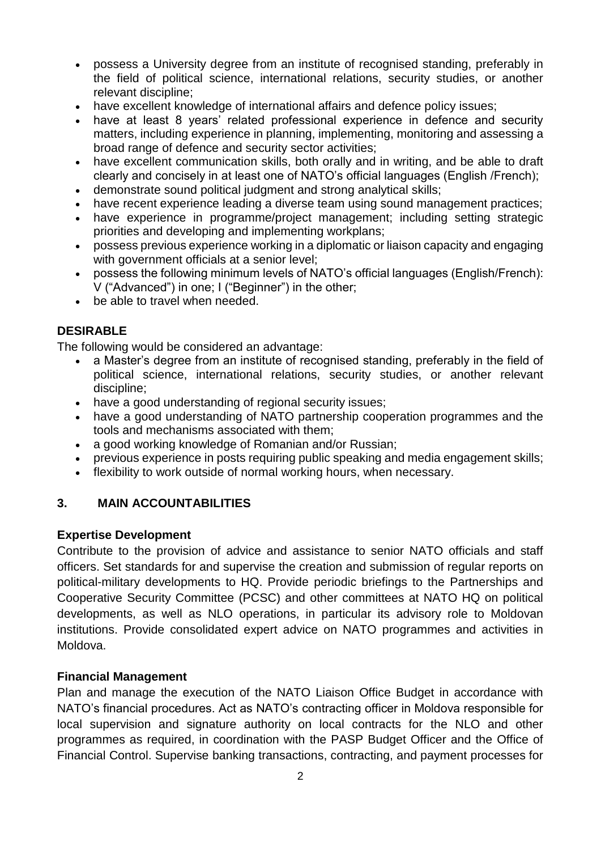- possess a University degree from an institute of recognised standing, preferably in the field of political science, international relations, security studies, or another relevant discipline;
- have excellent knowledge of international affairs and defence policy issues;
- have at least 8 years' related professional experience in defence and security matters, including experience in planning, implementing, monitoring and assessing a broad range of defence and security sector activities;
- have excellent communication skills, both orally and in writing, and be able to draft clearly and concisely in at least one of NATO's official languages (English /French);
- demonstrate sound political judgment and strong analytical skills;
- have recent experience leading a diverse team using sound management practices;
- have experience in programme/project management; including setting strategic priorities and developing and implementing workplans;
- possess previous experience working in a diplomatic or liaison capacity and engaging with government officials at a senior level;
- possess the following minimum levels of NATO's official languages (English/French): V ("Advanced") in one; I ("Beginner") in the other;
- be able to travel when needed.

## **DESIRABLE**

The following would be considered an advantage:

- a Master's degree from an institute of recognised standing, preferably in the field of political science, international relations, security studies, or another relevant discipline;
- have a good understanding of regional security issues;
- have a good understanding of NATO partnership cooperation programmes and the tools and mechanisms associated with them;
- a good working knowledge of Romanian and/or Russian;
- previous experience in posts requiring public speaking and media engagement skills;
- flexibility to work outside of normal working hours, when necessary.

## **3. MAIN ACCOUNTABILITIES**

#### **Expertise Development**

Contribute to the provision of advice and assistance to senior NATO officials and staff officers. Set standards for and supervise the creation and submission of regular reports on political-military developments to HQ. Provide periodic briefings to the Partnerships and Cooperative Security Committee (PCSC) and other committees at NATO HQ on political developments, as well as NLO operations, in particular its advisory role to Moldovan institutions. Provide consolidated expert advice on NATO programmes and activities in Moldova.

#### **Financial Management**

Plan and manage the execution of the NATO Liaison Office Budget in accordance with NATO's financial procedures. Act as NATO's contracting officer in Moldova responsible for local supervision and signature authority on local contracts for the NLO and other programmes as required, in coordination with the PASP Budget Officer and the Office of Financial Control. Supervise banking transactions, contracting, and payment processes for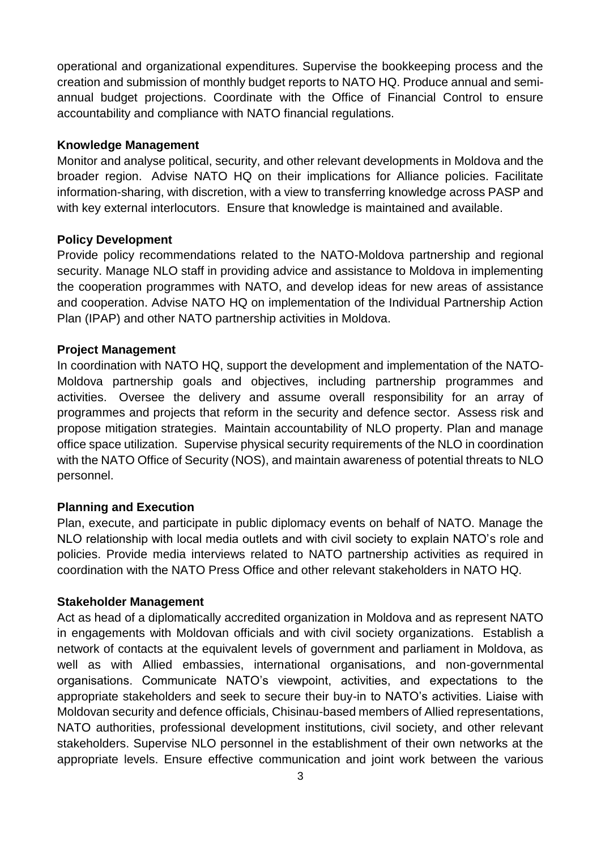operational and organizational expenditures. Supervise the bookkeeping process and the creation and submission of monthly budget reports to NATO HQ. Produce annual and semiannual budget projections. Coordinate with the Office of Financial Control to ensure accountability and compliance with NATO financial regulations.

#### **Knowledge Management**

Monitor and analyse political, security, and other relevant developments in Moldova and the broader region. Advise NATO HQ on their implications for Alliance policies. Facilitate information-sharing, with discretion, with a view to transferring knowledge across PASP and with key external interlocutors. Ensure that knowledge is maintained and available.

#### **Policy Development**

Provide policy recommendations related to the NATO-Moldova partnership and regional security. Manage NLO staff in providing advice and assistance to Moldova in implementing the cooperation programmes with NATO, and develop ideas for new areas of assistance and cooperation. Advise NATO HQ on implementation of the Individual Partnership Action Plan (IPAP) and other NATO partnership activities in Moldova.

#### **Project Management**

In coordination with NATO HQ, support the development and implementation of the NATO-Moldova partnership goals and objectives, including partnership programmes and activities. Oversee the delivery and assume overall responsibility for an array of programmes and projects that reform in the security and defence sector. Assess risk and propose mitigation strategies. Maintain accountability of NLO property. Plan and manage office space utilization. Supervise physical security requirements of the NLO in coordination with the NATO Office of Security (NOS), and maintain awareness of potential threats to NLO personnel.

#### **Planning and Execution**

Plan, execute, and participate in public diplomacy events on behalf of NATO. Manage the NLO relationship with local media outlets and with civil society to explain NATO's role and policies. Provide media interviews related to NATO partnership activities as required in coordination with the NATO Press Office and other relevant stakeholders in NATO HQ.

#### **Stakeholder Management**

Act as head of a diplomatically accredited organization in Moldova and as represent NATO in engagements with Moldovan officials and with civil society organizations. Establish a network of contacts at the equivalent levels of government and parliament in Moldova, as well as with Allied embassies, international organisations, and non-governmental organisations. Communicate NATO's viewpoint, activities, and expectations to the appropriate stakeholders and seek to secure their buy-in to NATO's activities. Liaise with Moldovan security and defence officials, Chisinau-based members of Allied representations, NATO authorities, professional development institutions, civil society, and other relevant stakeholders. Supervise NLO personnel in the establishment of their own networks at the appropriate levels. Ensure effective communication and joint work between the various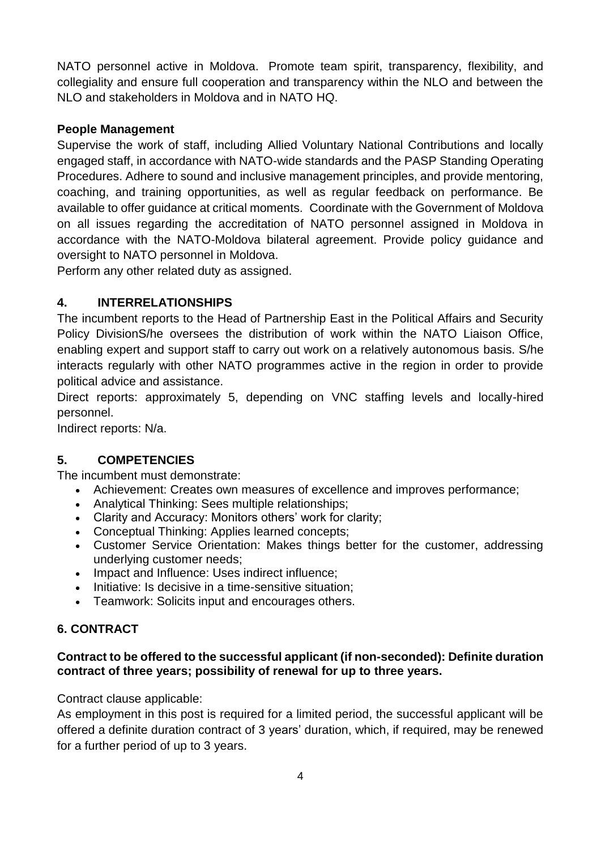NATO personnel active in Moldova. Promote team spirit, transparency, flexibility, and collegiality and ensure full cooperation and transparency within the NLO and between the NLO and stakeholders in Moldova and in NATO HQ.

### **People Management**

Supervise the work of staff, including Allied Voluntary National Contributions and locally engaged staff, in accordance with NATO-wide standards and the PASP Standing Operating Procedures. Adhere to sound and inclusive management principles, and provide mentoring, coaching, and training opportunities, as well as regular feedback on performance. Be available to offer guidance at critical moments. Coordinate with the Government of Moldova on all issues regarding the accreditation of NATO personnel assigned in Moldova in accordance with the NATO-Moldova bilateral agreement. Provide policy guidance and oversight to NATO personnel in Moldova.

Perform any other related duty as assigned.

# **4. INTERRELATIONSHIPS**

The incumbent reports to the Head of Partnership East in the Political Affairs and Security Policy DivisionS/he oversees the distribution of work within the NATO Liaison Office, enabling expert and support staff to carry out work on a relatively autonomous basis. S/he interacts regularly with other NATO programmes active in the region in order to provide political advice and assistance.

Direct reports: approximately 5, depending on VNC staffing levels and locally-hired personnel.

Indirect reports: N/a.

## **5. COMPETENCIES**

The incumbent must demonstrate:

- Achievement: Creates own measures of excellence and improves performance;
- Analytical Thinking: Sees multiple relationships:
- Clarity and Accuracy: Monitors others' work for clarity;
- Conceptual Thinking: Applies learned concepts;
- Customer Service Orientation: Makes things better for the customer, addressing underlying customer needs;
- Impact and Influence: Uses indirect influence;
- Initiative: Is decisive in a time-sensitive situation;
- Teamwork: Solicits input and encourages others.

## **6. CONTRACT**

#### **Contract to be offered to the successful applicant (if non-seconded): Definite duration contract of three years; possibility of renewal for up to three years.**

Contract clause applicable:

As employment in this post is required for a limited period, the successful applicant will be offered a definite duration contract of 3 years' duration, which, if required, may be renewed for a further period of up to 3 years.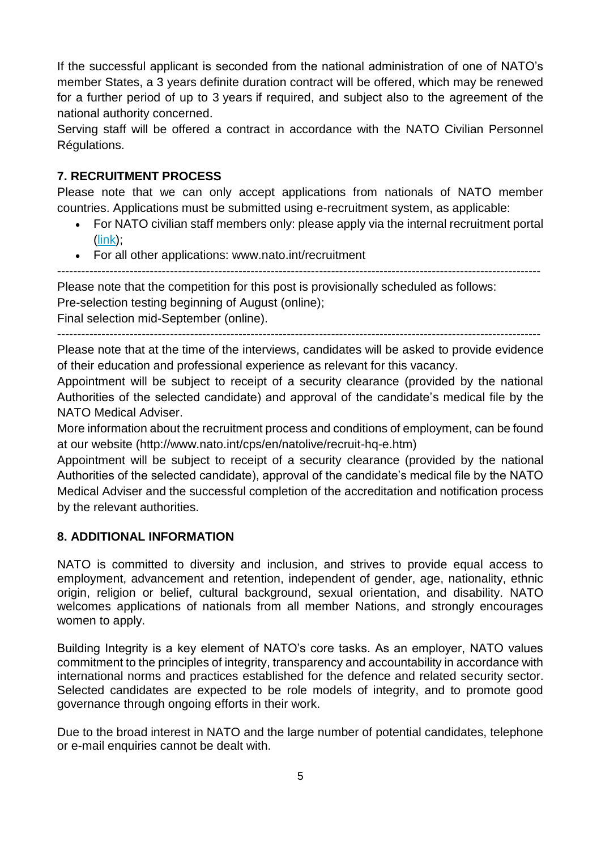If the successful applicant is seconded from the national administration of one of NATO's member States, a 3 years definite duration contract will be offered, which may be renewed for a further period of up to 3 years if required, and subject also to the agreement of the national authority concerned.

Serving staff will be offered a contract in accordance with the NATO Civilian Personnel Régulations.

# **7. RECRUITMENT PROCESS**

Please note that we can only accept applications from nationals of NATO member countries. Applications must be submitted using e-recruitment system, as applicable:

- For NATO civilian staff members only: please apply via the internal recruitment portal [\(link\)](https://nato.taleo.net/careersection/1/jobsearch.ftl?lang=en);
- For all other applications: www.nato.int/recruitment

------------------------------------------------------------------------------------------------------------------------

Please note that the competition for this post is provisionally scheduled as follows:

Pre-selection testing beginning of August (online);

Final selection mid-September (online).

------------------------------------------------------------------------------------------------------------------------

Please note that at the time of the interviews, candidates will be asked to provide evidence of their education and professional experience as relevant for this vacancy.

Appointment will be subject to receipt of a security clearance (provided by the national Authorities of the selected candidate) and approval of the candidate's medical file by the NATO Medical Adviser.

More information about the recruitment process and conditions of employment, can be found at our website (http://www.nato.int/cps/en/natolive/recruit-hq-e.htm)

Appointment will be subject to receipt of a security clearance (provided by the national Authorities of the selected candidate), approval of the candidate's medical file by the NATO Medical Adviser and the successful completion of the accreditation and notification process by the relevant authorities.

# **8. ADDITIONAL INFORMATION**

NATO is committed to diversity and inclusion, and strives to provide equal access to employment, advancement and retention, independent of gender, age, nationality, ethnic origin, religion or belief, cultural background, sexual orientation, and disability. NATO welcomes applications of nationals from all member Nations, and strongly encourages women to apply.

Building Integrity is a key element of NATO's core tasks. As an employer, NATO values commitment to the principles of integrity, transparency and accountability in accordance with international norms and practices established for the defence and related security sector. Selected candidates are expected to be role models of integrity, and to promote good governance through ongoing efforts in their work.

Due to the broad interest in NATO and the large number of potential candidates, telephone or e-mail enquiries cannot be dealt with.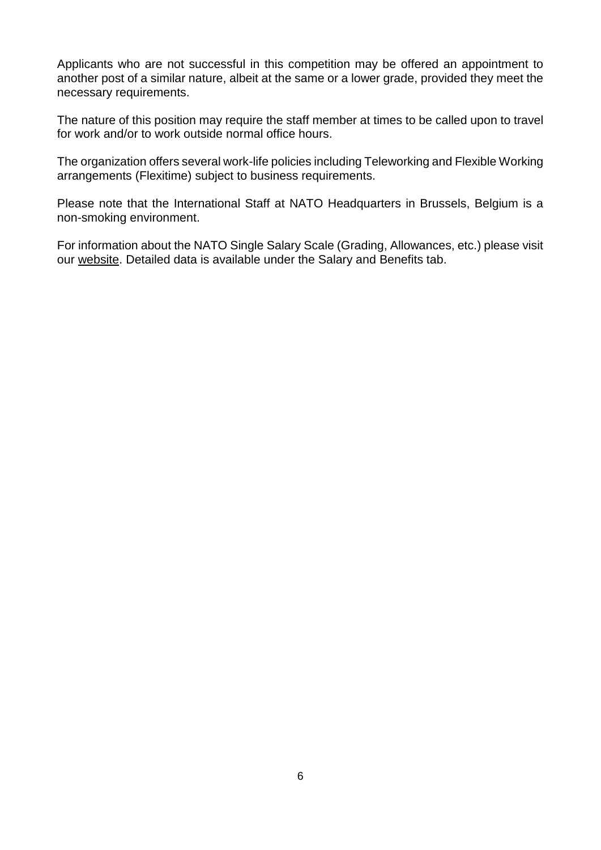Applicants who are not successful in this competition may be offered an appointment to another post of a similar nature, albeit at the same or a lower grade, provided they meet the necessary requirements.

The nature of this position may require the staff member at times to be called upon to travel for work and/or to work outside normal office hours.

The organization offers several work-life policies including Teleworking and Flexible Working arrangements (Flexitime) subject to business requirements.

Please note that the International Staff at NATO Headquarters in Brussels, Belgium is a non-smoking environment.

For information about the NATO Single Salary Scale (Grading, Allowances, etc.) please visit our [website.](https://www.nato.int/cps/en/natolive/86790.htm) Detailed data is available under the Salary and Benefits tab.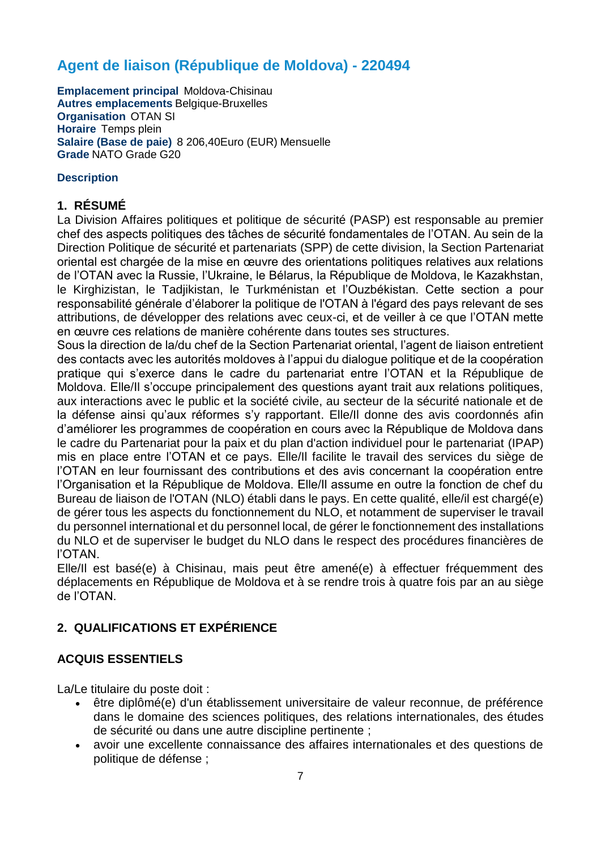# **Agent de liaison (République de Moldova) - 220494**

**Emplacement principal** Moldova-Chisinau **Autres emplacements** Belgique-Bruxelles **Organisation** OTAN SI **Horaire** Temps plein **Salaire (Base de paie)** 8 206,40Euro (EUR) Mensuelle **Grade** NATO Grade G20

#### **Description**

#### **1. RÉSUMÉ**

La Division Affaires politiques et politique de sécurité (PASP) est responsable au premier chef des aspects politiques des tâches de sécurité fondamentales de l'OTAN. Au sein de la Direction Politique de sécurité et partenariats (SPP) de cette division, la Section Partenariat oriental est chargée de la mise en œuvre des orientations politiques relatives aux relations de l'OTAN avec la Russie, l'Ukraine, le Bélarus, la République de Moldova, le Kazakhstan, le Kirghizistan, le Tadjikistan, le Turkménistan et l'Ouzbékistan. Cette section a pour responsabilité générale d'élaborer la politique de l'OTAN à l'égard des pays relevant de ses attributions, de développer des relations avec ceux-ci, et de veiller à ce que l'OTAN mette en œuvre ces relations de manière cohérente dans toutes ses structures.

Sous la direction de la/du chef de la Section Partenariat oriental, l'agent de liaison entretient des contacts avec les autorités moldoves à l'appui du dialogue politique et de la coopération pratique qui s'exerce dans le cadre du partenariat entre l'OTAN et la République de Moldova. Elle/Il s'occupe principalement des questions ayant trait aux relations politiques, aux interactions avec le public et la société civile, au secteur de la sécurité nationale et de la défense ainsi qu'aux réformes s'y rapportant. Elle/II donne des avis coordonnés afin d'améliorer les programmes de coopération en cours avec la République de Moldova dans le cadre du Partenariat pour la paix et du plan d'action individuel pour le partenariat (IPAP) mis en place entre l'OTAN et ce pays. Elle/Il facilite le travail des services du siège de l'OTAN en leur fournissant des contributions et des avis concernant la coopération entre l'Organisation et la République de Moldova. Elle/Il assume en outre la fonction de chef du Bureau de liaison de l'OTAN (NLO) établi dans le pays. En cette qualité, elle/il est chargé(e) de gérer tous les aspects du fonctionnement du NLO, et notamment de superviser le travail du personnel international et du personnel local, de gérer le fonctionnement des installations du NLO et de superviser le budget du NLO dans le respect des procédures financières de l'OTAN.

Elle/Il est basé(e) à Chisinau, mais peut être amené(e) à effectuer fréquemment des déplacements en République de Moldova et à se rendre trois à quatre fois par an au siège de l'OTAN.

## **2. QUALIFICATIONS ET EXPÉRIENCE**

#### **ACQUIS ESSENTIELS**

La/Le titulaire du poste doit :

- être diplômé(e) d'un établissement universitaire de valeur reconnue, de préférence dans le domaine des sciences politiques, des relations internationales, des études de sécurité ou dans une autre discipline pertinente ;
- avoir une excellente connaissance des affaires internationales et des questions de politique de défense ;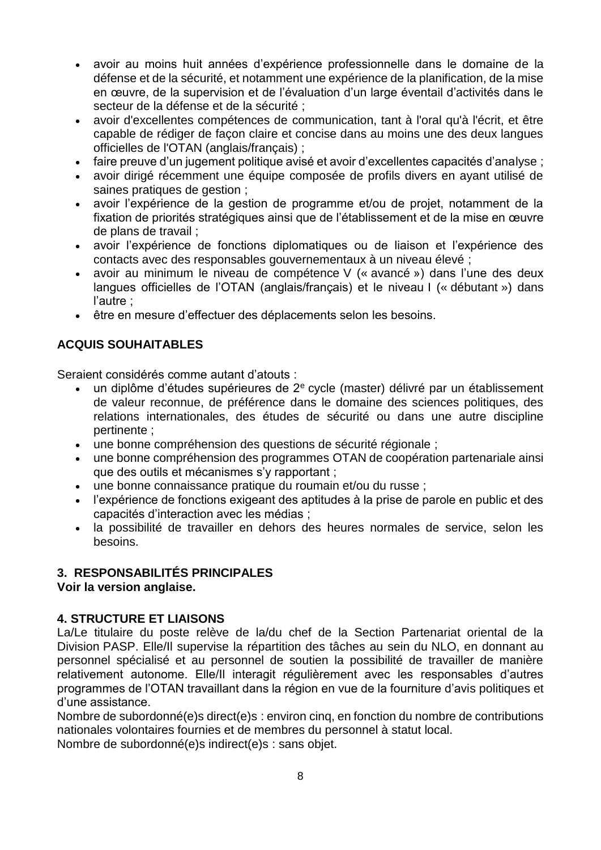- avoir au moins huit années d'expérience professionnelle dans le domaine de la défense et de la sécurité, et notamment une expérience de la planification, de la mise en œuvre, de la supervision et de l'évaluation d'un large éventail d'activités dans le secteur de la défense et de la sécurité ;
- avoir d'excellentes compétences de communication, tant à l'oral qu'à l'écrit, et être capable de rédiger de façon claire et concise dans au moins une des deux langues officielles de l'OTAN (anglais/français) ;
- faire preuve d'un jugement politique avisé et avoir d'excellentes capacités d'analyse ;
- avoir dirigé récemment une équipe composée de profils divers en ayant utilisé de saines pratiques de gestion ;
- avoir l'expérience de la gestion de programme et/ou de projet, notamment de la fixation de priorités stratégiques ainsi que de l'établissement et de la mise en œuvre de plans de travail ;
- avoir l'expérience de fonctions diplomatiques ou de liaison et l'expérience des contacts avec des responsables gouvernementaux à un niveau élevé ;
- avoir au minimum le niveau de compétence V (« avancé ») dans l'une des deux langues officielles de l'OTAN (anglais/français) et le niveau I (« débutant ») dans l'autre ;
- être en mesure d'effectuer des déplacements selon les besoins.

# **ACQUIS SOUHAITABLES**

Seraient considérés comme autant d'atouts :

- un diplôme d'études supérieures de 2<sup>e</sup> cycle (master) délivré par un établissement de valeur reconnue, de préférence dans le domaine des sciences politiques, des relations internationales, des études de sécurité ou dans une autre discipline pertinente ;
- une bonne compréhension des questions de sécurité régionale ;
- une bonne compréhension des programmes OTAN de coopération partenariale ainsi que des outils et mécanismes s'y rapportant ;
- une bonne connaissance pratique du roumain et/ou du russe ;
- l'expérience de fonctions exigeant des aptitudes à la prise de parole en public et des capacités d'interaction avec les médias ;
- la possibilité de travailler en dehors des heures normales de service, selon les besoins.

# **3. RESPONSABILITÉS PRINCIPALES**

**Voir la version anglaise.**

## **4. STRUCTURE ET LIAISONS**

La/Le titulaire du poste relève de la/du chef de la Section Partenariat oriental de la Division PASP. Elle/Il supervise la répartition des tâches au sein du NLO, en donnant au personnel spécialisé et au personnel de soutien la possibilité de travailler de manière relativement autonome. Elle/Il interagit régulièrement avec les responsables d'autres programmes de l'OTAN travaillant dans la région en vue de la fourniture d'avis politiques et d'une assistance.

Nombre de subordonné(e)s direct(e)s : environ cinq, en fonction du nombre de contributions nationales volontaires fournies et de membres du personnel à statut local.

Nombre de subordonné(e)s indirect(e)s : sans objet.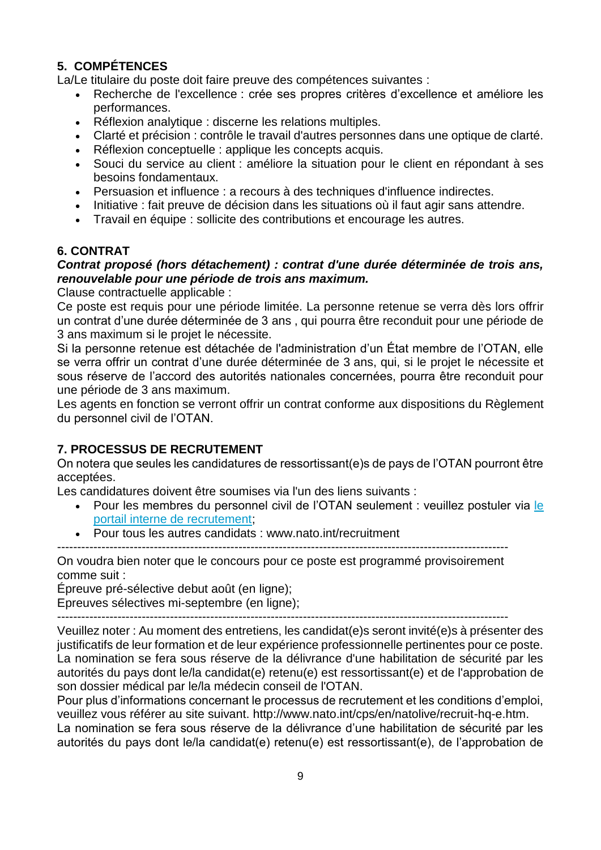# **5. COMPÉTENCES**

La/Le titulaire du poste doit faire preuve des compétences suivantes :

- Recherche de l'excellence : crée ses propres critères d'excellence et améliore les performances.
- Réflexion analytique : discerne les relations multiples.
- Clarté et précision : contrôle le travail d'autres personnes dans une optique de clarté.
- Réflexion conceptuelle : applique les concepts acquis.
- Souci du service au client : améliore la situation pour le client en répondant à ses besoins fondamentaux.
- Persuasion et influence : a recours à des techniques d'influence indirectes.
- Initiative : fait preuve de décision dans les situations où il faut agir sans attendre.
- Travail en équipe : sollicite des contributions et encourage les autres.

#### **6. CONTRAT**

#### *Contrat proposé (hors détachement) : contrat d'une durée déterminée de trois ans, renouvelable pour une période de trois ans maximum.*

Clause contractuelle applicable :

Ce poste est requis pour une période limitée. La personne retenue se verra dès lors offrir un contrat d'une durée déterminée de 3 ans , qui pourra être reconduit pour une période de 3 ans maximum si le projet le nécessite.

Si la personne retenue est détachée de l'administration d'un État membre de l'OTAN, elle se verra offrir un contrat d'une durée déterminée de 3 ans, qui, si le projet le nécessite et sous réserve de l'accord des autorités nationales concernées, pourra être reconduit pour une période de 3 ans maximum.

Les agents en fonction se verront offrir un contrat conforme aux dispositions du Règlement du personnel civil de l'OTAN.

## **7. PROCESSUS DE RECRUTEMENT**

On notera que seules les candidatures de ressortissant(e)s de pays de l'OTAN pourront être acceptées.

Les candidatures doivent être soumises via l'un des liens suivants :

- Pour les membres du personnel civil de l'OTAN seulement : veuillez postuler via le [portail interne de recrutement;](http://nato.taleo.net/careersection/1/jobsearch.ftl?lang=en)
- Pour tous les autres candidats : www.nato.int/recruitment

On voudra bien noter que le concours pour ce poste est programmé provisoirement comme suit :

----------------------------------------------------------------------------------------------------------------

Épreuve pré-sélective debut août (en ligne);

Epreuves sélectives mi-septembre (en ligne);

----------------------------------------------------------------------------------------------------------------

Veuillez noter : Au moment des entretiens, les candidat(e)s seront invité(e)s à présenter des justificatifs de leur formation et de leur expérience professionnelle pertinentes pour ce poste. La nomination se fera sous réserve de la délivrance d'une habilitation de sécurité par les autorités du pays dont le/la candidat(e) retenu(e) est ressortissant(e) et de l'approbation de son dossier médical par le/la médecin conseil de l'OTAN.

Pour plus d'informations concernant le processus de recrutement et les conditions d'emploi, veuillez vous référer au site suivant. http://www.nato.int/cps/en/natolive/recruit-hq-e.htm.

La nomination se fera sous réserve de la délivrance d'une habilitation de sécurité par les autorités du pays dont le/la candidat(e) retenu(e) est ressortissant(e), de l'approbation de